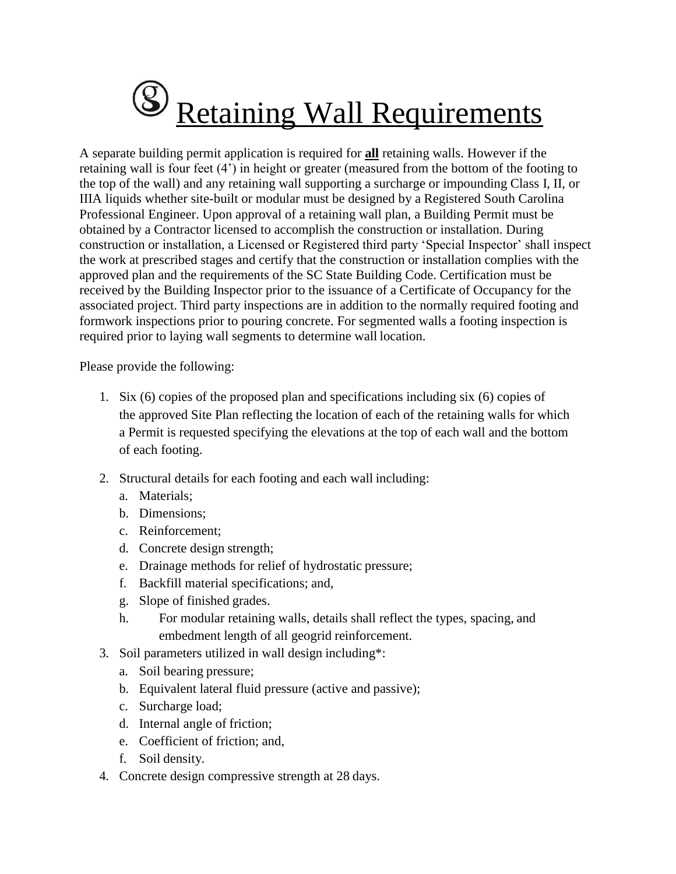## **S** Retaining Wall Requirements

A separate building permit application is required for **all** retaining walls. However if the retaining wall is four feet (4') in height or greater (measured from the bottom of the footing to the top of the wall) and any retaining wall supporting a surcharge or impounding Class I, II, or IIIA liquids whether site-built or modular must be designed by a Registered South Carolina Professional Engineer. Upon approval of a retaining wall plan, a Building Permit must be obtained by a Contractor licensed to accomplish the construction or installation. During construction or installation, a Licensed or Registered third party 'Special Inspector' shall inspect the work at prescribed stages and certify that the construction or installation complies with the approved plan and the requirements of the SC State Building Code. Certification must be received by the Building Inspector prior to the issuance of a Certificate of Occupancy for the associated project. Third party inspections are in addition to the normally required footing and formwork inspections prior to pouring concrete. For segmented walls a footing inspection is required prior to laying wall segments to determine wall location.

Please provide the following:

- 1. Six (6) copies of the proposed plan and specifications including six (6) copies of the approved Site Plan reflecting the location of each of the retaining walls for which a Permit is requested specifying the elevations at the top of each wall and the bottom of each footing.
- 2. Structural details for each footing and each wall including:
	- a. Materials;
	- b. Dimensions;
	- c. Reinforcement;
	- d. Concrete design strength;
	- e. Drainage methods for relief of hydrostatic pressure;
	- f. Backfill material specifications; and,
	- g. Slope of finished grades.
	- h. For modular retaining walls, details shall reflect the types, spacing, and embedment length of all geogrid reinforcement.
- 3. Soil parameters utilized in wall design including\*:
	- a. Soil bearing pressure;
	- b. Equivalent lateral fluid pressure (active and passive);
	- c. Surcharge load;
	- d. Internal angle of friction;
	- e. Coefficient of friction; and,
	- f. Soil density.
- 4. Concrete design compressive strength at 28 days.